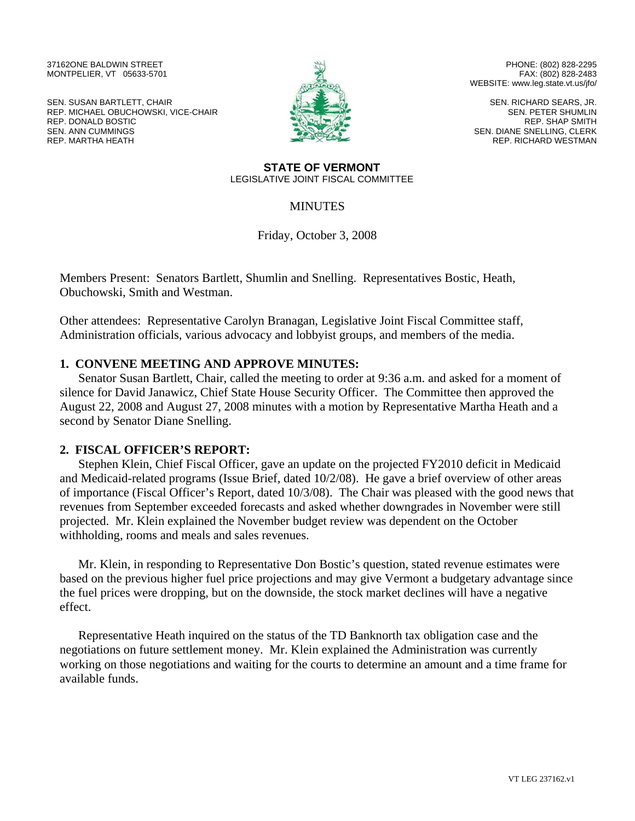37162ONE BALDWIN STREET MONTPELIER, VT 05633-5701

SEN. SUSAN BARTLETT, CHAIR REP. MICHAEL OBUCHOWSKI, VICE-CHAIR REP. DONALD BOSTIC SEN. ANN CUMMINGS REP. MARTHA HEATH



PHONE: (802) 828-2295 FAX: (802) 828-2483 WEBSITE: www.leg.state.vt.us/jfo/

SEN. RICHARD SEARS, JR. SEN. PETER SHUMLIN REP. SHAP SMITH SEN. DIANE SNELLING, CLERK REP. RICHARD WESTMAN

#### **STATE OF VERMONT**  LEGISLATIVE JOINT FISCAL COMMITTEE

# MINUTES

Friday, October 3, 2008

Members Present: Senators Bartlett, Shumlin and Snelling. Representatives Bostic, Heath, Obuchowski, Smith and Westman.

Other attendees: Representative Carolyn Branagan, Legislative Joint Fiscal Committee staff, Administration officials, various advocacy and lobbyist groups, and members of the media.

## **1. CONVENE MEETING AND APPROVE MINUTES:**

Senator Susan Bartlett, Chair, called the meeting to order at 9:36 a.m. and asked for a moment of silence for David Janawicz, Chief State House Security Officer. The Committee then approved the August 22, 2008 and August 27, 2008 minutes with a motion by Representative Martha Heath and a second by Senator Diane Snelling.

## **2. FISCAL OFFICER'S REPORT:**

Stephen Klein, Chief Fiscal Officer, gave an update on the projected FY2010 deficit in Medicaid and Medicaid-related programs (Issue Brief, dated 10/2/08). He gave a brief overview of other areas of importance (Fiscal Officer's Report, dated 10/3/08). The Chair was pleased with the good news that revenues from September exceeded forecasts and asked whether downgrades in November were still projected. Mr. Klein explained the November budget review was dependent on the October withholding, rooms and meals and sales revenues.

Mr. Klein, in responding to Representative Don Bostic's question, stated revenue estimates were based on the previous higher fuel price projections and may give Vermont a budgetary advantage since the fuel prices were dropping, but on the downside, the stock market declines will have a negative effect.

Representative Heath inquired on the status of the TD Banknorth tax obligation case and the negotiations on future settlement money. Mr. Klein explained the Administration was currently working on those negotiations and waiting for the courts to determine an amount and a time frame for available funds.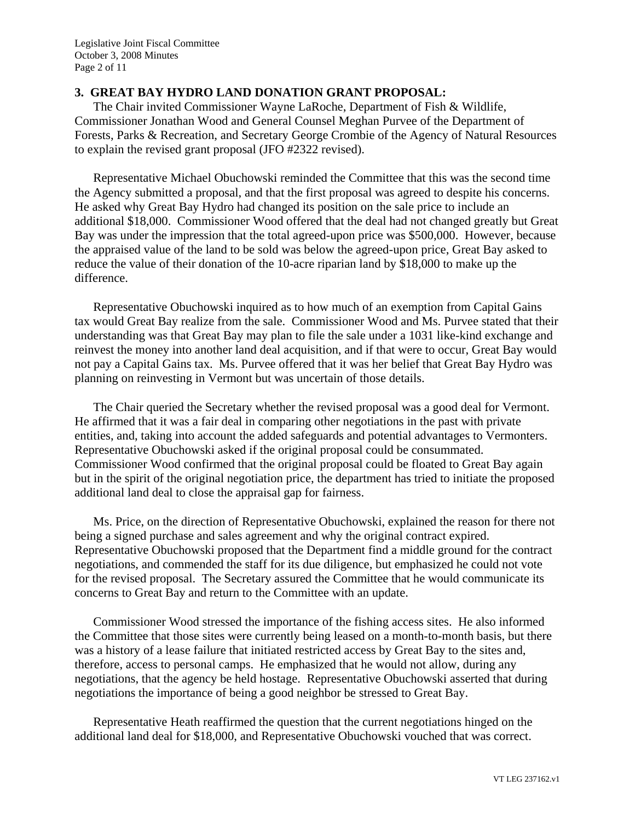## **3. GREAT BAY HYDRO LAND DONATION GRANT PROPOSAL:**

The Chair invited Commissioner Wayne LaRoche, Department of Fish & Wildlife, Commissioner Jonathan Wood and General Counsel Meghan Purvee of the Department of Forests, Parks & Recreation, and Secretary George Crombie of the Agency of Natural Resources to explain the revised grant proposal (JFO #2322 revised).

Representative Michael Obuchowski reminded the Committee that this was the second time the Agency submitted a proposal, and that the first proposal was agreed to despite his concerns. He asked why Great Bay Hydro had changed its position on the sale price to include an additional \$18,000. Commissioner Wood offered that the deal had not changed greatly but Great Bay was under the impression that the total agreed-upon price was \$500,000. However, because the appraised value of the land to be sold was below the agreed-upon price, Great Bay asked to reduce the value of their donation of the 10-acre riparian land by \$18,000 to make up the difference.

Representative Obuchowski inquired as to how much of an exemption from Capital Gains tax would Great Bay realize from the sale. Commissioner Wood and Ms. Purvee stated that their understanding was that Great Bay may plan to file the sale under a 1031 like-kind exchange and reinvest the money into another land deal acquisition, and if that were to occur, Great Bay would not pay a Capital Gains tax. Ms. Purvee offered that it was her belief that Great Bay Hydro was planning on reinvesting in Vermont but was uncertain of those details.

The Chair queried the Secretary whether the revised proposal was a good deal for Vermont. He affirmed that it was a fair deal in comparing other negotiations in the past with private entities, and, taking into account the added safeguards and potential advantages to Vermonters. Representative Obuchowski asked if the original proposal could be consummated. Commissioner Wood confirmed that the original proposal could be floated to Great Bay again but in the spirit of the original negotiation price, the department has tried to initiate the proposed additional land deal to close the appraisal gap for fairness.

Ms. Price, on the direction of Representative Obuchowski, explained the reason for there not being a signed purchase and sales agreement and why the original contract expired. Representative Obuchowski proposed that the Department find a middle ground for the contract negotiations, and commended the staff for its due diligence, but emphasized he could not vote for the revised proposal. The Secretary assured the Committee that he would communicate its concerns to Great Bay and return to the Committee with an update.

Commissioner Wood stressed the importance of the fishing access sites. He also informed the Committee that those sites were currently being leased on a month-to-month basis, but there was a history of a lease failure that initiated restricted access by Great Bay to the sites and, therefore, access to personal camps. He emphasized that he would not allow, during any negotiations, that the agency be held hostage. Representative Obuchowski asserted that during negotiations the importance of being a good neighbor be stressed to Great Bay.

Representative Heath reaffirmed the question that the current negotiations hinged on the additional land deal for \$18,000, and Representative Obuchowski vouched that was correct.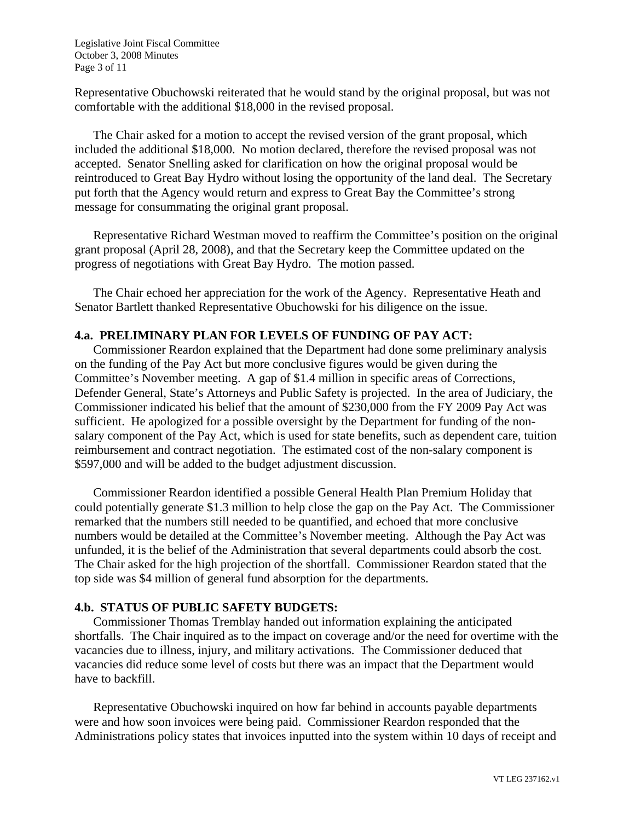Legislative Joint Fiscal Committee October 3, 2008 Minutes Page 3 of 11

Representative Obuchowski reiterated that he would stand by the original proposal, but was not comfortable with the additional \$18,000 in the revised proposal.

The Chair asked for a motion to accept the revised version of the grant proposal, which included the additional \$18,000. No motion declared, therefore the revised proposal was not accepted. Senator Snelling asked for clarification on how the original proposal would be reintroduced to Great Bay Hydro without losing the opportunity of the land deal. The Secretary put forth that the Agency would return and express to Great Bay the Committee's strong message for consummating the original grant proposal.

Representative Richard Westman moved to reaffirm the Committee's position on the original grant proposal (April 28, 2008), and that the Secretary keep the Committee updated on the progress of negotiations with Great Bay Hydro. The motion passed.

The Chair echoed her appreciation for the work of the Agency. Representative Heath and Senator Bartlett thanked Representative Obuchowski for his diligence on the issue.

### **4.a. PRELIMINARY PLAN FOR LEVELS OF FUNDING OF PAY ACT:**

Commissioner Reardon explained that the Department had done some preliminary analysis on the funding of the Pay Act but more conclusive figures would be given during the Committee's November meeting. A gap of \$1.4 million in specific areas of Corrections, Defender General, State's Attorneys and Public Safety is projected. In the area of Judiciary, the Commissioner indicated his belief that the amount of \$230,000 from the FY 2009 Pay Act was sufficient. He apologized for a possible oversight by the Department for funding of the nonsalary component of the Pay Act, which is used for state benefits, such as dependent care, tuition reimbursement and contract negotiation. The estimated cost of the non-salary component is \$597,000 and will be added to the budget adjustment discussion.

Commissioner Reardon identified a possible General Health Plan Premium Holiday that could potentially generate \$1.3 million to help close the gap on the Pay Act. The Commissioner remarked that the numbers still needed to be quantified, and echoed that more conclusive numbers would be detailed at the Committee's November meeting. Although the Pay Act was unfunded, it is the belief of the Administration that several departments could absorb the cost. The Chair asked for the high projection of the shortfall. Commissioner Reardon stated that the top side was \$4 million of general fund absorption for the departments.

# **4.b. STATUS OF PUBLIC SAFETY BUDGETS:**

Commissioner Thomas Tremblay handed out information explaining the anticipated shortfalls. The Chair inquired as to the impact on coverage and/or the need for overtime with the vacancies due to illness, injury, and military activations. The Commissioner deduced that vacancies did reduce some level of costs but there was an impact that the Department would have to backfill.

Representative Obuchowski inquired on how far behind in accounts payable departments were and how soon invoices were being paid. Commissioner Reardon responded that the Administrations policy states that invoices inputted into the system within 10 days of receipt and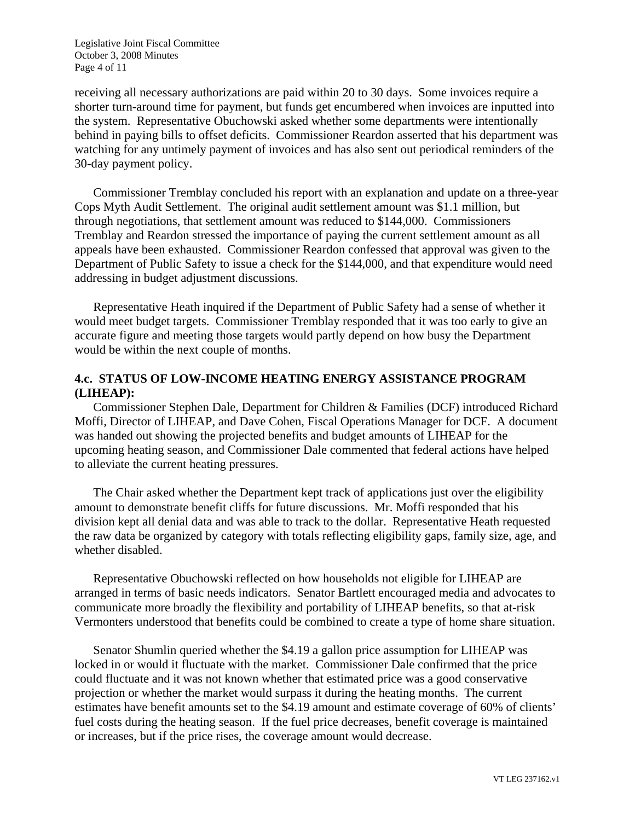Legislative Joint Fiscal Committee October 3, 2008 Minutes Page 4 of 11

receiving all necessary authorizations are paid within 20 to 30 days. Some invoices require a shorter turn-around time for payment, but funds get encumbered when invoices are inputted into the system. Representative Obuchowski asked whether some departments were intentionally behind in paying bills to offset deficits. Commissioner Reardon asserted that his department was watching for any untimely payment of invoices and has also sent out periodical reminders of the 30-day payment policy.

Commissioner Tremblay concluded his report with an explanation and update on a three-year Cops Myth Audit Settlement. The original audit settlement amount was \$1.1 million, but through negotiations, that settlement amount was reduced to \$144,000. Commissioners Tremblay and Reardon stressed the importance of paying the current settlement amount as all appeals have been exhausted. Commissioner Reardon confessed that approval was given to the Department of Public Safety to issue a check for the \$144,000, and that expenditure would need addressing in budget adjustment discussions.

Representative Heath inquired if the Department of Public Safety had a sense of whether it would meet budget targets. Commissioner Tremblay responded that it was too early to give an accurate figure and meeting those targets would partly depend on how busy the Department would be within the next couple of months.

## **4.c. STATUS OF LOW-INCOME HEATING ENERGY ASSISTANCE PROGRAM (LIHEAP):**

Commissioner Stephen Dale, Department for Children & Families (DCF) introduced Richard Moffi, Director of LIHEAP, and Dave Cohen, Fiscal Operations Manager for DCF. A document was handed out showing the projected benefits and budget amounts of LIHEAP for the upcoming heating season, and Commissioner Dale commented that federal actions have helped to alleviate the current heating pressures.

The Chair asked whether the Department kept track of applications just over the eligibility amount to demonstrate benefit cliffs for future discussions. Mr. Moffi responded that his division kept all denial data and was able to track to the dollar. Representative Heath requested the raw data be organized by category with totals reflecting eligibility gaps, family size, age, and whether disabled.

Representative Obuchowski reflected on how households not eligible for LIHEAP are arranged in terms of basic needs indicators. Senator Bartlett encouraged media and advocates to communicate more broadly the flexibility and portability of LIHEAP benefits, so that at-risk Vermonters understood that benefits could be combined to create a type of home share situation.

Senator Shumlin queried whether the \$4.19 a gallon price assumption for LIHEAP was locked in or would it fluctuate with the market. Commissioner Dale confirmed that the price could fluctuate and it was not known whether that estimated price was a good conservative projection or whether the market would surpass it during the heating months. The current estimates have benefit amounts set to the \$4.19 amount and estimate coverage of 60% of clients' fuel costs during the heating season. If the fuel price decreases, benefit coverage is maintained or increases, but if the price rises, the coverage amount would decrease.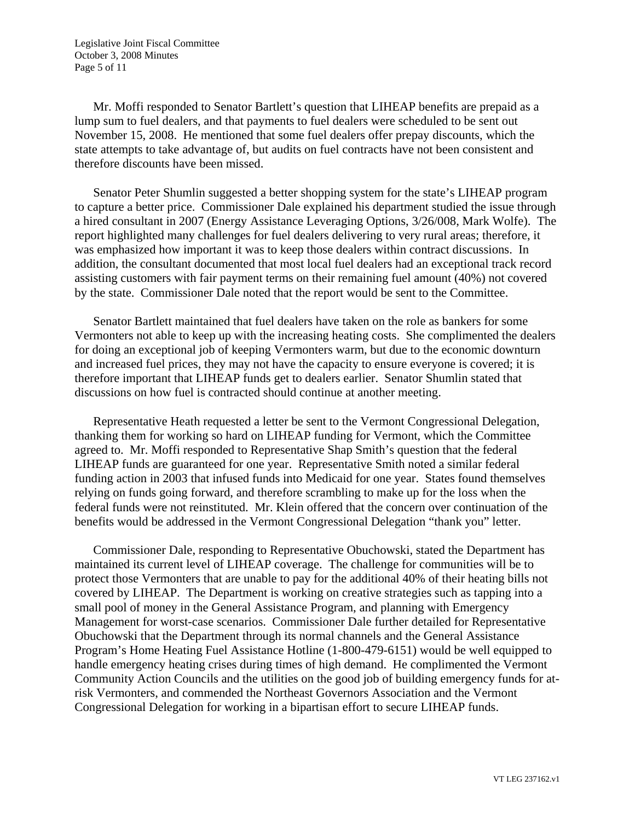Legislative Joint Fiscal Committee October 3, 2008 Minutes Page 5 of 11

Mr. Moffi responded to Senator Bartlett's question that LIHEAP benefits are prepaid as a lump sum to fuel dealers, and that payments to fuel dealers were scheduled to be sent out November 15, 2008. He mentioned that some fuel dealers offer prepay discounts, which the state attempts to take advantage of, but audits on fuel contracts have not been consistent and therefore discounts have been missed.

Senator Peter Shumlin suggested a better shopping system for the state's LIHEAP program to capture a better price. Commissioner Dale explained his department studied the issue through a hired consultant in 2007 (Energy Assistance Leveraging Options, 3/26/008, Mark Wolfe). The report highlighted many challenges for fuel dealers delivering to very rural areas; therefore, it was emphasized how important it was to keep those dealers within contract discussions. In addition, the consultant documented that most local fuel dealers had an exceptional track record assisting customers with fair payment terms on their remaining fuel amount (40%) not covered by the state. Commissioner Dale noted that the report would be sent to the Committee.

Senator Bartlett maintained that fuel dealers have taken on the role as bankers for some Vermonters not able to keep up with the increasing heating costs. She complimented the dealers for doing an exceptional job of keeping Vermonters warm, but due to the economic downturn and increased fuel prices, they may not have the capacity to ensure everyone is covered; it is therefore important that LIHEAP funds get to dealers earlier. Senator Shumlin stated that discussions on how fuel is contracted should continue at another meeting.

Representative Heath requested a letter be sent to the Vermont Congressional Delegation, thanking them for working so hard on LIHEAP funding for Vermont, which the Committee agreed to. Mr. Moffi responded to Representative Shap Smith's question that the federal LIHEAP funds are guaranteed for one year. Representative Smith noted a similar federal funding action in 2003 that infused funds into Medicaid for one year. States found themselves relying on funds going forward, and therefore scrambling to make up for the loss when the federal funds were not reinstituted. Mr. Klein offered that the concern over continuation of the benefits would be addressed in the Vermont Congressional Delegation "thank you" letter.

Commissioner Dale, responding to Representative Obuchowski, stated the Department has maintained its current level of LIHEAP coverage. The challenge for communities will be to protect those Vermonters that are unable to pay for the additional 40% of their heating bills not covered by LIHEAP. The Department is working on creative strategies such as tapping into a small pool of money in the General Assistance Program, and planning with Emergency Management for worst-case scenarios. Commissioner Dale further detailed for Representative Obuchowski that the Department through its normal channels and the General Assistance Program's Home Heating Fuel Assistance Hotline (1-800-479-6151) would be well equipped to handle emergency heating crises during times of high demand. He complimented the Vermont Community Action Councils and the utilities on the good job of building emergency funds for atrisk Vermonters, and commended the Northeast Governors Association and the Vermont Congressional Delegation for working in a bipartisan effort to secure LIHEAP funds.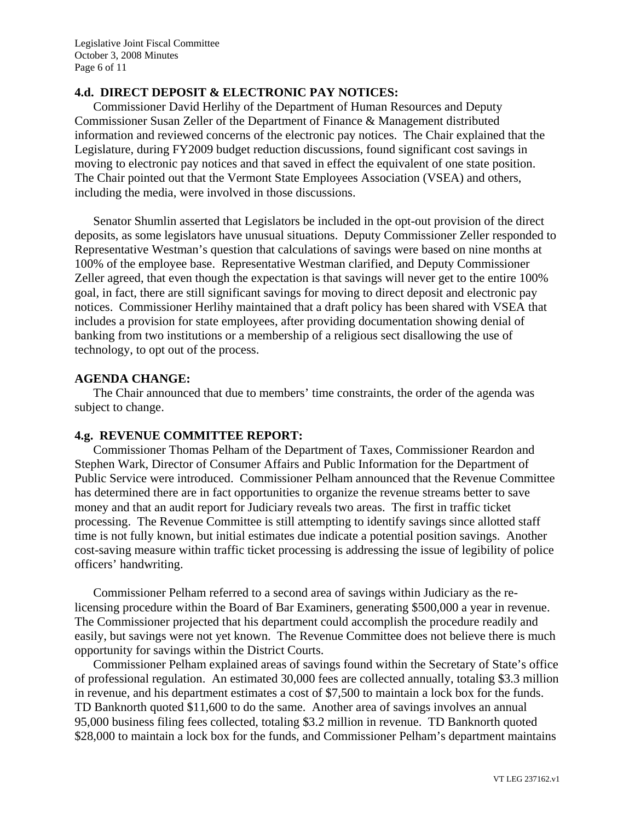### **4.d. DIRECT DEPOSIT & ELECTRONIC PAY NOTICES:**

Commissioner David Herlihy of the Department of Human Resources and Deputy Commissioner Susan Zeller of the Department of Finance & Management distributed information and reviewed concerns of the electronic pay notices. The Chair explained that the Legislature, during FY2009 budget reduction discussions, found significant cost savings in moving to electronic pay notices and that saved in effect the equivalent of one state position. The Chair pointed out that the Vermont State Employees Association (VSEA) and others, including the media, were involved in those discussions.

Senator Shumlin asserted that Legislators be included in the opt-out provision of the direct deposits, as some legislators have unusual situations. Deputy Commissioner Zeller responded to Representative Westman's question that calculations of savings were based on nine months at 100% of the employee base. Representative Westman clarified, and Deputy Commissioner Zeller agreed, that even though the expectation is that savings will never get to the entire 100% goal, in fact, there are still significant savings for moving to direct deposit and electronic pay notices. Commissioner Herlihy maintained that a draft policy has been shared with VSEA that includes a provision for state employees, after providing documentation showing denial of banking from two institutions or a membership of a religious sect disallowing the use of technology, to opt out of the process.

#### **AGENDA CHANGE:**

The Chair announced that due to members' time constraints, the order of the agenda was subject to change.

### **4.g. REVENUE COMMITTEE REPORT:**

Commissioner Thomas Pelham of the Department of Taxes, Commissioner Reardon and Stephen Wark, Director of Consumer Affairs and Public Information for the Department of Public Service were introduced. Commissioner Pelham announced that the Revenue Committee has determined there are in fact opportunities to organize the revenue streams better to save money and that an audit report for Judiciary reveals two areas. The first in traffic ticket processing. The Revenue Committee is still attempting to identify savings since allotted staff time is not fully known, but initial estimates due indicate a potential position savings. Another cost-saving measure within traffic ticket processing is addressing the issue of legibility of police officers' handwriting.

Commissioner Pelham referred to a second area of savings within Judiciary as the relicensing procedure within the Board of Bar Examiners, generating \$500,000 a year in revenue. The Commissioner projected that his department could accomplish the procedure readily and easily, but savings were not yet known. The Revenue Committee does not believe there is much opportunity for savings within the District Courts.

Commissioner Pelham explained areas of savings found within the Secretary of State's office of professional regulation. An estimated 30,000 fees are collected annually, totaling \$3.3 million in revenue, and his department estimates a cost of \$7,500 to maintain a lock box for the funds. TD Banknorth quoted \$11,600 to do the same. Another area of savings involves an annual 95,000 business filing fees collected, totaling \$3.2 million in revenue. TD Banknorth quoted \$28,000 to maintain a lock box for the funds, and Commissioner Pelham's department maintains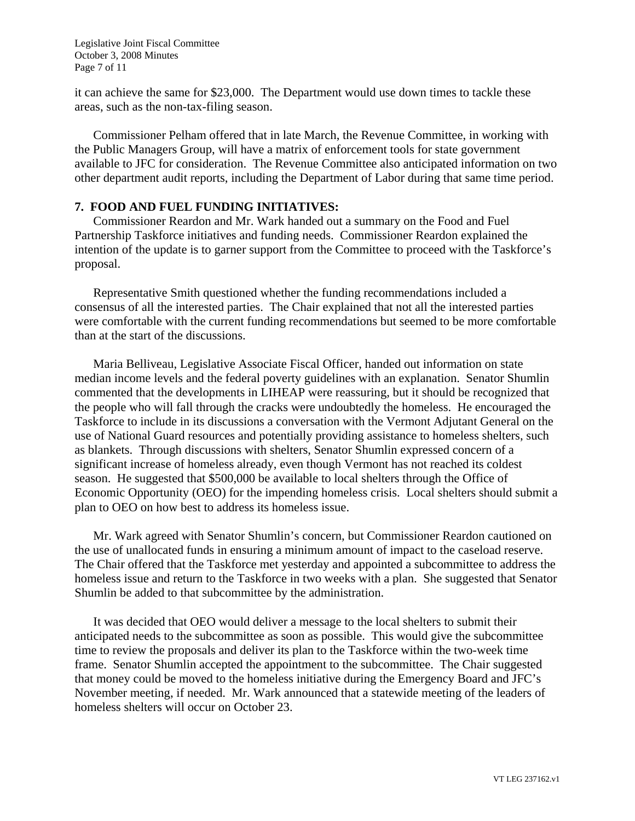Legislative Joint Fiscal Committee October 3, 2008 Minutes Page 7 of 11

it can achieve the same for \$23,000. The Department would use down times to tackle these areas, such as the non-tax-filing season.

Commissioner Pelham offered that in late March, the Revenue Committee, in working with the Public Managers Group, will have a matrix of enforcement tools for state government available to JFC for consideration. The Revenue Committee also anticipated information on two other department audit reports, including the Department of Labor during that same time period.

## **7. FOOD AND FUEL FUNDING INITIATIVES:**

Commissioner Reardon and Mr. Wark handed out a summary on the Food and Fuel Partnership Taskforce initiatives and funding needs. Commissioner Reardon explained the intention of the update is to garner support from the Committee to proceed with the Taskforce's proposal.

Representative Smith questioned whether the funding recommendations included a consensus of all the interested parties. The Chair explained that not all the interested parties were comfortable with the current funding recommendations but seemed to be more comfortable than at the start of the discussions.

Maria Belliveau, Legislative Associate Fiscal Officer, handed out information on state median income levels and the federal poverty guidelines with an explanation. Senator Shumlin commented that the developments in LIHEAP were reassuring, but it should be recognized that the people who will fall through the cracks were undoubtedly the homeless. He encouraged the Taskforce to include in its discussions a conversation with the Vermont Adjutant General on the use of National Guard resources and potentially providing assistance to homeless shelters, such as blankets. Through discussions with shelters, Senator Shumlin expressed concern of a significant increase of homeless already, even though Vermont has not reached its coldest season. He suggested that \$500,000 be available to local shelters through the Office of Economic Opportunity (OEO) for the impending homeless crisis. Local shelters should submit a plan to OEO on how best to address its homeless issue.

Mr. Wark agreed with Senator Shumlin's concern, but Commissioner Reardon cautioned on the use of unallocated funds in ensuring a minimum amount of impact to the caseload reserve. The Chair offered that the Taskforce met yesterday and appointed a subcommittee to address the homeless issue and return to the Taskforce in two weeks with a plan. She suggested that Senator Shumlin be added to that subcommittee by the administration.

It was decided that OEO would deliver a message to the local shelters to submit their anticipated needs to the subcommittee as soon as possible. This would give the subcommittee time to review the proposals and deliver its plan to the Taskforce within the two-week time frame. Senator Shumlin accepted the appointment to the subcommittee. The Chair suggested that money could be moved to the homeless initiative during the Emergency Board and JFC's November meeting, if needed. Mr. Wark announced that a statewide meeting of the leaders of homeless shelters will occur on October 23.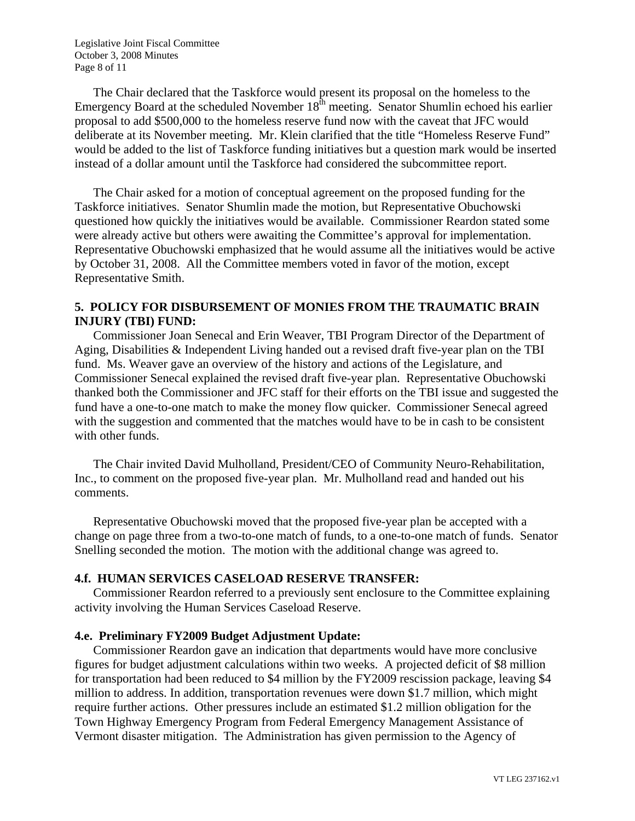Legislative Joint Fiscal Committee October 3, 2008 Minutes Page 8 of 11

The Chair declared that the Taskforce would present its proposal on the homeless to the Emergency Board at the scheduled November  $18<sup>th</sup>$  meeting. Senator Shumlin echoed his earlier proposal to add \$500,000 to the homeless reserve fund now with the caveat that JFC would deliberate at its November meeting. Mr. Klein clarified that the title "Homeless Reserve Fund" would be added to the list of Taskforce funding initiatives but a question mark would be inserted instead of a dollar amount until the Taskforce had considered the subcommittee report.

The Chair asked for a motion of conceptual agreement on the proposed funding for the Taskforce initiatives. Senator Shumlin made the motion, but Representative Obuchowski questioned how quickly the initiatives would be available. Commissioner Reardon stated some were already active but others were awaiting the Committee's approval for implementation. Representative Obuchowski emphasized that he would assume all the initiatives would be active by October 31, 2008. All the Committee members voted in favor of the motion, except Representative Smith.

## **5. POLICY FOR DISBURSEMENT OF MONIES FROM THE TRAUMATIC BRAIN INJURY (TBI) FUND:**

Commissioner Joan Senecal and Erin Weaver, TBI Program Director of the Department of Aging, Disabilities & Independent Living handed out a revised draft five-year plan on the TBI fund. Ms. Weaver gave an overview of the history and actions of the Legislature, and Commissioner Senecal explained the revised draft five-year plan. Representative Obuchowski thanked both the Commissioner and JFC staff for their efforts on the TBI issue and suggested the fund have a one-to-one match to make the money flow quicker. Commissioner Senecal agreed with the suggestion and commented that the matches would have to be in cash to be consistent with other funds.

The Chair invited David Mulholland, President/CEO of Community Neuro-Rehabilitation, Inc., to comment on the proposed five-year plan. Mr. Mulholland read and handed out his comments.

Representative Obuchowski moved that the proposed five-year plan be accepted with a change on page three from a two-to-one match of funds, to a one-to-one match of funds. Senator Snelling seconded the motion. The motion with the additional change was agreed to.

### **4.f. HUMAN SERVICES CASELOAD RESERVE TRANSFER:**

Commissioner Reardon referred to a previously sent enclosure to the Committee explaining activity involving the Human Services Caseload Reserve.

#### **4.e. Preliminary FY2009 Budget Adjustment Update:**

Commissioner Reardon gave an indication that departments would have more conclusive figures for budget adjustment calculations within two weeks. A projected deficit of \$8 million for transportation had been reduced to \$4 million by the FY2009 rescission package, leaving \$4 million to address. In addition, transportation revenues were down \$1.7 million, which might require further actions. Other pressures include an estimated \$1.2 million obligation for the Town Highway Emergency Program from Federal Emergency Management Assistance of Vermont disaster mitigation. The Administration has given permission to the Agency of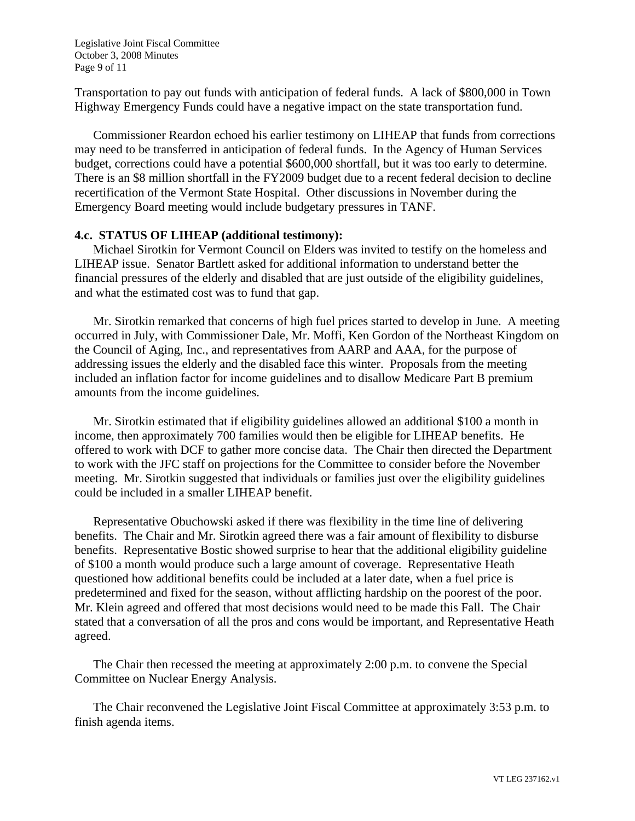Legislative Joint Fiscal Committee October 3, 2008 Minutes Page 9 of 11

Transportation to pay out funds with anticipation of federal funds. A lack of \$800,000 in Town Highway Emergency Funds could have a negative impact on the state transportation fund.

Commissioner Reardon echoed his earlier testimony on LIHEAP that funds from corrections may need to be transferred in anticipation of federal funds. In the Agency of Human Services budget, corrections could have a potential \$600,000 shortfall, but it was too early to determine. There is an \$8 million shortfall in the FY2009 budget due to a recent federal decision to decline recertification of the Vermont State Hospital. Other discussions in November during the Emergency Board meeting would include budgetary pressures in TANF.

#### **4.c. STATUS OF LIHEAP (additional testimony):**

Michael Sirotkin for Vermont Council on Elders was invited to testify on the homeless and LIHEAP issue. Senator Bartlett asked for additional information to understand better the financial pressures of the elderly and disabled that are just outside of the eligibility guidelines, and what the estimated cost was to fund that gap.

Mr. Sirotkin remarked that concerns of high fuel prices started to develop in June. A meeting occurred in July, with Commissioner Dale, Mr. Moffi, Ken Gordon of the Northeast Kingdom on the Council of Aging, Inc., and representatives from AARP and AAA, for the purpose of addressing issues the elderly and the disabled face this winter. Proposals from the meeting included an inflation factor for income guidelines and to disallow Medicare Part B premium amounts from the income guidelines.

Mr. Sirotkin estimated that if eligibility guidelines allowed an additional \$100 a month in income, then approximately 700 families would then be eligible for LIHEAP benefits. He offered to work with DCF to gather more concise data. The Chair then directed the Department to work with the JFC staff on projections for the Committee to consider before the November meeting. Mr. Sirotkin suggested that individuals or families just over the eligibility guidelines could be included in a smaller LIHEAP benefit.

Representative Obuchowski asked if there was flexibility in the time line of delivering benefits. The Chair and Mr. Sirotkin agreed there was a fair amount of flexibility to disburse benefits. Representative Bostic showed surprise to hear that the additional eligibility guideline of \$100 a month would produce such a large amount of coverage. Representative Heath questioned how additional benefits could be included at a later date, when a fuel price is predetermined and fixed for the season, without afflicting hardship on the poorest of the poor. Mr. Klein agreed and offered that most decisions would need to be made this Fall. The Chair stated that a conversation of all the pros and cons would be important, and Representative Heath agreed.

The Chair then recessed the meeting at approximately 2:00 p.m. to convene the Special Committee on Nuclear Energy Analysis.

The Chair reconvened the Legislative Joint Fiscal Committee at approximately 3:53 p.m. to finish agenda items.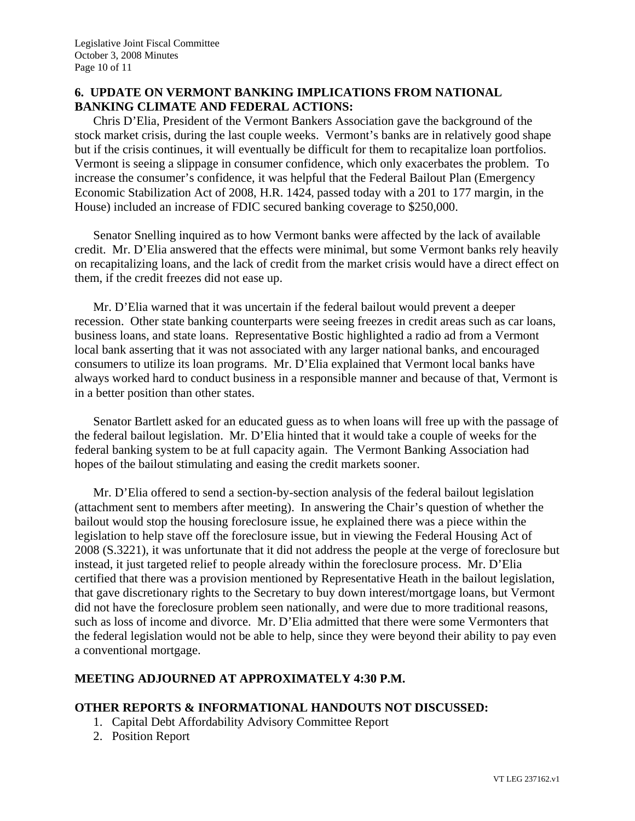# **6. UPDATE ON VERMONT BANKING IMPLICATIONS FROM NATIONAL BANKING CLIMATE AND FEDERAL ACTIONS:**

Chris D'Elia, President of the Vermont Bankers Association gave the background of the stock market crisis, during the last couple weeks. Vermont's banks are in relatively good shape but if the crisis continues, it will eventually be difficult for them to recapitalize loan portfolios. Vermont is seeing a slippage in consumer confidence, which only exacerbates the problem. To increase the consumer's confidence, it was helpful that the Federal Bailout Plan (Emergency Economic Stabilization Act of 2008, H.R. 1424, passed today with a 201 to 177 margin, in the House) included an increase of FDIC secured banking coverage to \$250,000.

Senator Snelling inquired as to how Vermont banks were affected by the lack of available credit. Mr. D'Elia answered that the effects were minimal, but some Vermont banks rely heavily on recapitalizing loans, and the lack of credit from the market crisis would have a direct effect on them, if the credit freezes did not ease up.

Mr. D'Elia warned that it was uncertain if the federal bailout would prevent a deeper recession. Other state banking counterparts were seeing freezes in credit areas such as car loans, business loans, and state loans. Representative Bostic highlighted a radio ad from a Vermont local bank asserting that it was not associated with any larger national banks, and encouraged consumers to utilize its loan programs. Mr. D'Elia explained that Vermont local banks have always worked hard to conduct business in a responsible manner and because of that, Vermont is in a better position than other states.

Senator Bartlett asked for an educated guess as to when loans will free up with the passage of the federal bailout legislation. Mr. D'Elia hinted that it would take a couple of weeks for the federal banking system to be at full capacity again. The Vermont Banking Association had hopes of the bailout stimulating and easing the credit markets sooner.

Mr. D'Elia offered to send a section-by-section analysis of the federal bailout legislation (attachment sent to members after meeting). In answering the Chair's question of whether the bailout would stop the housing foreclosure issue, he explained there was a piece within the legislation to help stave off the foreclosure issue, but in viewing the Federal Housing Act of 2008 (S.3221), it was unfortunate that it did not address the people at the verge of foreclosure but instead, it just targeted relief to people already within the foreclosure process. Mr. D'Elia certified that there was a provision mentioned by Representative Heath in the bailout legislation, that gave discretionary rights to the Secretary to buy down interest/mortgage loans, but Vermont did not have the foreclosure problem seen nationally, and were due to more traditional reasons, such as loss of income and divorce. Mr. D'Elia admitted that there were some Vermonters that the federal legislation would not be able to help, since they were beyond their ability to pay even a conventional mortgage.

# **MEETING ADJOURNED AT APPROXIMATELY 4:30 P.M.**

## **OTHER REPORTS & INFORMATIONAL HANDOUTS NOT DISCUSSED:**

- 1. Capital Debt Affordability Advisory Committee Report
- 2. Position Report